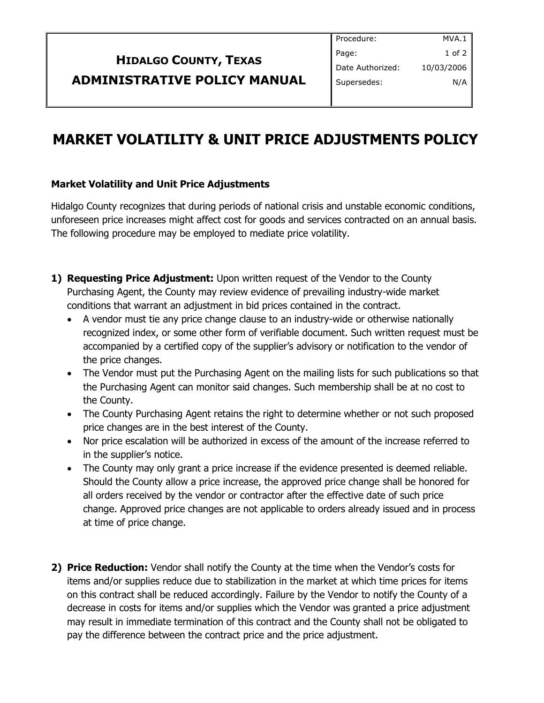| Procedure:       | MVA.1      |
|------------------|------------|
| Page:            | $1$ of $2$ |
| Date Authorized: | 10/03/2006 |
| Supersedes:      | N/A        |
|                  |            |

## **ADMINISTRATIVE POLICY MANUA**

**HIDALGO COUNTY, TEXAS**

## **MARKET VOLATILITY & UNIT PRICE ADJUSTMENTS POLICY**

## **Market Volatility and Unit Price Adjustments**

Hidalgo County recognizes that during periods of national crisis and unstable economic conditions, unforeseen price increases might affect cost for goods and services contracted on an annual basis. The following procedure may be employed to mediate price volatility.

- **1) Requesting Price Adjustment:** Upon written request of the Vendor to the County Purchasing Agent, the County may review evidence of prevailing industry-wide market conditions that warrant an adjustment in bid prices contained in the contract.
	- A vendor must tie any price change clause to an industry-wide or otherwise nationally recognized index, or some other form of verifiable document. Such written request must be accompanied by a certified copy of the supplier's advisory or notification to the vendor of the price changes.
	- The Vendor must put the Purchasing Agent on the mailing lists for such publications so that the Purchasing Agent can monitor said changes. Such membership shall be at no cost to the County.
	- The County Purchasing Agent retains the right to determine whether or not such proposed price changes are in the best interest of the County.
	- Nor price escalation will be authorized in excess of the amount of the increase referred to in the supplier's notice.
	- The County may only grant a price increase if the evidence presented is deemed reliable. Should the County allow a price increase, the approved price change shall be honored for all orders received by the vendor or contractor after the effective date of such price change. Approved price changes are not applicable to orders already issued and in process at time of price change.
- **2) Price Reduction:** Vendor shall notify the County at the time when the Vendor's costs for items and/or supplies reduce due to stabilization in the market at which time prices for items on this contract shall be reduced accordingly. Failure by the Vendor to notify the County of a decrease in costs for items and/or supplies which the Vendor was granted a price adjustment may result in immediate termination of this contract and the County shall not be obligated to pay the difference between the contract price and the price adjustment.